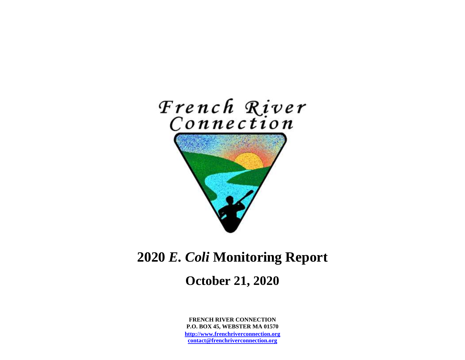

# **2020** *E. Coli* **Monitoring Report**

# **October 21, 2020**

**FRENCH RIVER CONNECTION P.O. BOX 45, WEBSTER MA 01570 [http://www.frenchriverconnection.org](http://www.frenchriverconnection.org/) [contact@frenchriverconnection.org](mailto:contact@frenchriverconnection.org)**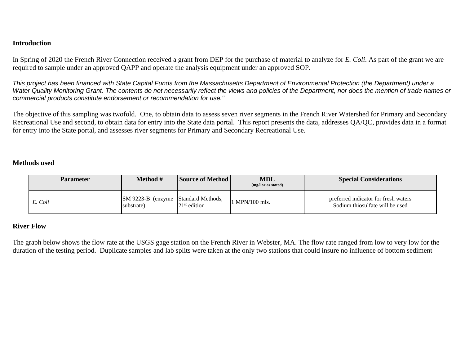#### **Introduction**

In Spring of 2020 the French River Connection received a grant from DEP for the purchase of material to analyze for *E. Coli*. As part of the grant we are required to sample under an approved QAPP and operate the analysis equipment under an approved SOP.

*This project has been financed with State Capital Funds from the Massachusetts Department of Environmental Protection (the Department) under a Water Quality Monitoring Grant. The contents do not necessarily reflect the views and policies of the Department, nor does the mention of trade names or commercial products constitute endorsement or recommendation for use."*

The objective of this sampling was twofold. One, to obtain data to assess seven river segments in the French River Watershed for Primary and Secondary Recreational Use and second, to obtain data for entry into the State data portal. This report presents the data, addresses QA/QC, provides data in a format for entry into the State portal, and assesses river segments for Primary and Secondary Recreational Use.

#### **Methods used**

| <b>Parameter</b> | <b>Method</b> #                                          | <b>Source of Method</b> | <b>MDL</b><br>(mg/l or as stated) | <b>Special Considerations</b>                                           |  |  |  |
|------------------|----------------------------------------------------------|-------------------------|-----------------------------------|-------------------------------------------------------------------------|--|--|--|
| E. Coli          | <b>SM 9223-B</b> (enzyme Standard Methods,<br>substrate) | $21st$ edition          | 1 MPN/100 mls.                    | preferred indicator for fresh waters<br>Sodium thiosulfate will be used |  |  |  |

#### **River Flow**

The graph below shows the flow rate at the USGS gage station on the French River in Webster, MA. The flow rate ranged from low to very low for the duration of the testing period. Duplicate samples and lab splits were taken at the only two stations that could insure no influence of bottom sediment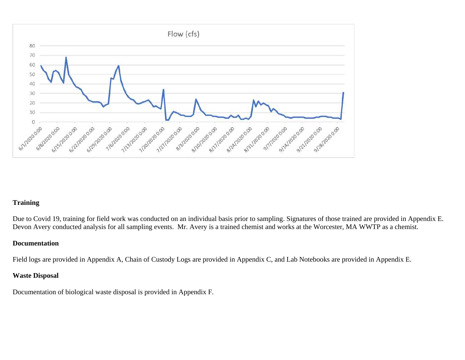

#### **Training**

Due to Covid 19, training for field work was conducted on an individual basis prior to sampling. Signatures of those trained are provided in Appendix E. Devon Avery conducted analysis for all sampling events. Mr. Avery is a trained chemist and works at the Worcester, MA WWTP as a chemist.

#### **Documentation**

Field logs are provided in Appendix A, Chain of Custody Logs are provided in Appendix C, and Lab Notebooks are provided in Appendix E.

# **Waste Disposal**

Documentation of biological waste disposal is provided in Appendix F.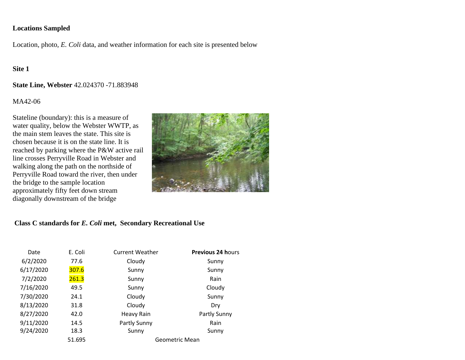#### **Locations Sampled**

Location, photo, *E. Coli* data, and weather information for each site is presented below

# **Site 1**

#### **State Line, Webster** 42.024370 -71.883948

## $MA42-06$

Stateline (boundary): this is a measure of water quality, below the Webster WWTP, as the main stem leaves the state. This site is chosen because it is on the state line. It is reached by parking where the P&W active rail line crosses Perryville Road in Webster and walking along the path on the northside of Perryville Road toward the river, then under the bridge to the sample location approximately fifty feet down stream diagonally downstream of the bridge



| Date      | E. Coli | <b>Current Weather</b> | <b>Previous 24 hours</b> |  |
|-----------|---------|------------------------|--------------------------|--|
| 6/2/2020  | 77.6    | Cloudy                 | Sunny                    |  |
| 6/17/2020 | 307.6   | Sunny                  | Sunny                    |  |
| 7/2/2020  | 261.3   | Sunny                  | Rain                     |  |
| 7/16/2020 | 49.5    | Sunny                  | Cloudy                   |  |
| 7/30/2020 | 24.1    | Cloudy                 | Sunny                    |  |
| 8/13/2020 | 31.8    | Cloudy                 | Dry                      |  |
| 8/27/2020 | 42.0    | Heavy Rain             | Partly Sunny             |  |
| 9/11/2020 | 14.5    | Partly Sunny           | Rain                     |  |
| 9/24/2020 | 18.3    | Sunny<br>Sunny         |                          |  |
|           | 51.695  |                        | Geometric Mean           |  |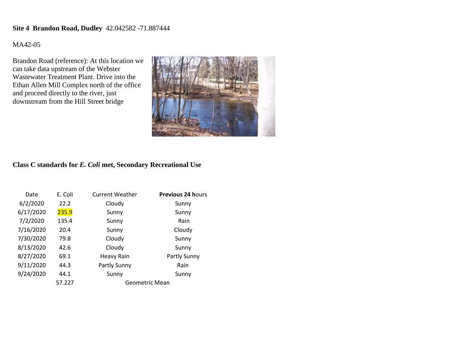## **Site 4 Brandon Road, Dudley** 42.042582 -71.887444

#### MA42-05

Brandon Road (reference): At this location we can take data upstream of the Webster Wastewater Treatment Plant. Drive into the Ethan Allen Mill Complex north of the office and proceed directly to the river, just downstream from the Hill Street bridge



| Date      | E. Coli | <b>Current Weather</b> | <b>Previous 24 hours</b> |
|-----------|---------|------------------------|--------------------------|
| 6/2/2020  | 22.2    | Cloudy                 | Sunny                    |
| 6/17/2020 | 235.9   | Sunny                  | Sunny                    |
| 7/2/2020  | 135.4   | Sunny                  | Rain                     |
| 7/16/2020 | 20.4    | Sunny                  | Cloudy                   |
| 7/30/2020 | 79.8    | Cloudy                 | Sunny                    |
| 8/13/2020 | 42.6    | Cloudy                 | Sunny                    |
| 8/27/2020 | 69.1    | Heavy Rain             | Partly Sunny             |
| 9/11/2020 | 44.3    | Partly Sunny           | Rain                     |
| 9/24/2020 | 44.1    | Sunny                  | Sunny                    |
|           | 57.227  | Geometric Mean         |                          |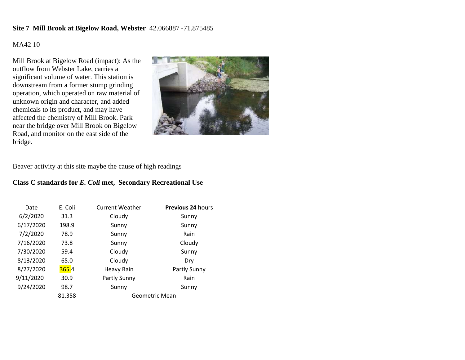#### **Site 7 Mill Brook at Bigelow Road, Webster** 42.066887 -71.875485

## MA42 10

Mill Brook at Bigelow Road (impact): As the outflow from Webster Lake, carries a significant volume of water. This station is downstream from a former stump grinding operation, which operated on raw material of unknown origin and character, and added chemicals to its product, and may have affected the chemistry of Mill Brook. Park near the bridge over Mill Brook on Bigelow Road, and monitor on the east side of the bridge.



Beaver activity at this site maybe the cause of high readings

| Date      | E. Coli | <b>Current Weather</b> | <b>Previous 24 hours</b> |
|-----------|---------|------------------------|--------------------------|
| 6/2/2020  | 31.3    | Cloudy                 | Sunny                    |
| 6/17/2020 | 198.9   | Sunny                  | Sunny                    |
| 7/2/2020  | 78.9    | Sunny                  | Rain                     |
| 7/16/2020 | 73.8    | Sunny                  | Cloudy                   |
| 7/30/2020 | 59.4    | Cloudy<br>Sunny        |                          |
| 8/13/2020 | 65.0    | Cloudy                 | Dry                      |
| 8/27/2020 | 365.4   | <b>Heavy Rain</b>      | Partly Sunny             |
| 9/11/2020 | 30.9    | Partly Sunny           | Rain                     |
| 9/24/2020 | 98.7    | Sunny                  | Sunny                    |
|           | 81.358  |                        | Geometric Mean           |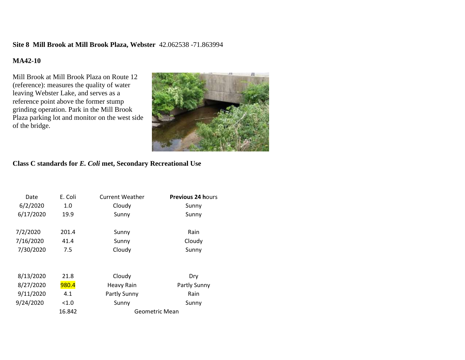#### **Site 8 Mill Brook at Mill Brook Plaza, Webster** 42.062538 -71.863994

## **MA42-10**

Mill Brook at Mill Brook Plaza on Route 12 (reference): measures the quality of water leaving Webster Lake, and serves as a reference point above the former stump grinding operation. Park in the Mill Brook Plaza parking lot and monitor on the west side of the bridge.



| Date      | E. Coli | <b>Current Weather</b> | <b>Previous 24 hours</b> |
|-----------|---------|------------------------|--------------------------|
| 6/2/2020  | 1.0     | Cloudy                 | Sunny                    |
| 6/17/2020 | 19.9    | Sunny                  | Sunny                    |
| 7/2/2020  | 201.4   |                        | Rain                     |
|           |         | Sunny                  |                          |
| 7/16/2020 | 41.4    | Sunny                  | Cloudy                   |
| 7/30/2020 | 7.5     | Cloudy                 | Sunny                    |
|           |         |                        |                          |
| 8/13/2020 | 21.8    | Cloudy                 | Dry                      |
| 8/27/2020 | 980.4   | <b>Heavy Rain</b>      | Partly Sunny             |
| 9/11/2020 | 4.1     | Partly Sunny           | Rain                     |
| 9/24/2020 | < 1.0   | Sunny                  | Sunny                    |
|           | 16.842  | Geometric Mean         |                          |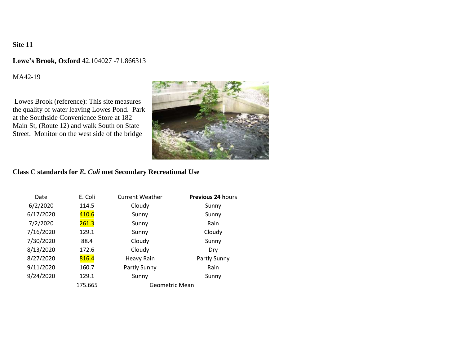#### **Lowe's Brook, Oxford** 42.104027 -71.866313

MA42-19

Lowes Brook (reference): This site measures the quality of water leaving Lowes Pond. Park at the Southside Convenience Store at 182 Main St, (Route 12) and walk South on State Street. Monitor on the west side of the bridge



| Date      | E. Coli | <b>Current Weather</b> | <b>Previous 24 hours</b> |
|-----------|---------|------------------------|--------------------------|
| 6/2/2020  | 114.5   | Cloudy                 | Sunny                    |
| 6/17/2020 | 410.6   | Sunny                  | Sunny                    |
| 7/2/2020  | 261.3   | Sunny                  | Rain                     |
| 7/16/2020 | 129.1   | Sunny                  | Cloudy                   |
| 7/30/2020 | 88.4    | Cloudy                 | Sunny                    |
| 8/13/2020 | 172.6   | Cloudy                 | Dry                      |
| 8/27/2020 | 816.4   | <b>Heavy Rain</b>      | Partly Sunny             |
| 9/11/2020 | 160.7   | Partly Sunny           | Rain                     |
| 9/24/2020 | 129.1   | Sunny<br>Sunny         |                          |
|           | 175.665 | Geometric Mean         |                          |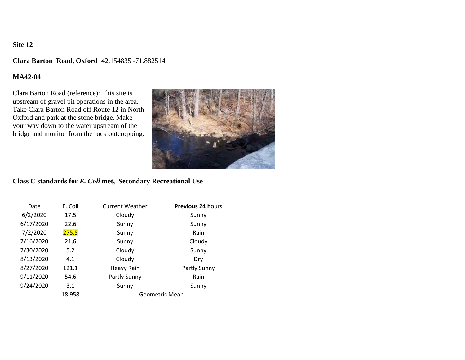#### **Clara Barton Road, Oxford** 42.154835 -71.882514

### **MA42-04**

Clara Barton Road (reference): This site is upstream of gravel pit operations in the area. Take Clara Barton Road off Route 12 in North Oxford and park at the stone bridge. Make your way down to the water upstream of the bridge and monitor from the rock outcropping.



| Date      | E. Coli | <b>Current Weather</b> | <b>Previous 24 hours</b> |
|-----------|---------|------------------------|--------------------------|
| 6/2/2020  | 17.5    | Cloudy                 | Sunny                    |
| 6/17/2020 | 22.6    | Sunny                  | Sunny                    |
| 7/2/2020  | 275.5   | Sunny                  | Rain                     |
| 7/16/2020 | 21,6    | Sunny                  | Cloudy                   |
| 7/30/2020 | 5.2     | Cloudy                 | Sunny                    |
| 8/13/2020 | 4.1     | Cloudy                 | Dry                      |
| 8/27/2020 | 121.1   | Heavy Rain             | Partly Sunny             |
| 9/11/2020 | 54.6    | Partly Sunny           | Rain                     |
| 9/24/2020 | 3.1     | Sunny                  | Sunny                    |
|           | 18.958  |                        | Geometric Mean           |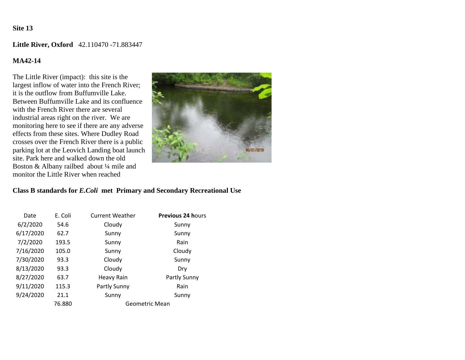**Little River, Oxford** 42.110470 -71.883447

## **MA42-14**

The Little River (impact): this site is the largest inflow of water into the French River; it is the outflow from Buffumville Lake. Between Buffumville Lake and its confluence with the French River there are several industrial areas right on the river. We are monitoring here to see if there are any adverse effects from these sites. Where Dudley Road crosses over the French River there is a public parking lot at the Leovich Landing boat launch site. Park here and walked down the old Boston & Albany railbed about ¼ mile and monitor the Little River when reached



#### **Class B standards for** *E.Coli* **met Primary and Secondary Recreational Use**

| Date      | E. Coli | <b>Current Weather</b> | <b>Previous 24 hours</b> |
|-----------|---------|------------------------|--------------------------|
| 6/2/2020  | 54.6    | Cloudy                 | Sunny                    |
| 6/17/2020 | 62.7    | Sunny                  | Sunny                    |
| 7/2/2020  | 193.5   | Sunny                  | Rain                     |
| 7/16/2020 | 105.0   | Sunny                  | Cloudy                   |
| 7/30/2020 | 93.3    | Cloudy                 | Sunny                    |
| 8/13/2020 | 93.3    | Cloudy                 | Dry                      |
| 8/27/2020 | 63.7    | <b>Heavy Rain</b>      | Partly Sunny             |
| 9/11/2020 | 115.3   | Partly Sunny           | Rain                     |
| 9/24/2020 | 21.1    | Sunny                  | Sunny                    |
|           | 76.880  |                        | Geometric Mean           |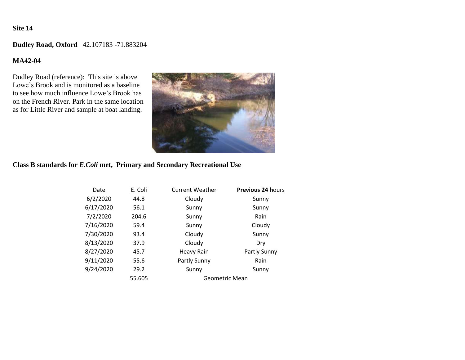# **Dudley Road, Oxford** 42.107183 -71.883204

#### **MA42-04**

Dudley Road (reference): This site is above Lowe's Brook and is monitored as a baseline to see how much influence Lowe's Brook has on the French River. Park in the same location as for Little River and sample at boat landing.



### **Class B standards for** *E.Coli* **met, Primary and Secondary Recreational Use**

| Date      | E. Coli | <b>Current Weather</b> | <b>Previous 24 hours</b> |
|-----------|---------|------------------------|--------------------------|
| 6/2/2020  | 44.8    | Cloudy                 | Sunny                    |
| 6/17/2020 | 56.1    | Sunny                  | Sunny                    |
| 7/2/2020  | 204.6   | Sunny                  | Rain                     |
| 7/16/2020 | 59.4    | Sunny                  | Cloudy                   |
| 7/30/2020 | 93.4    | Cloudy                 | Sunny                    |
| 8/13/2020 | 37.9    | Cloudy                 | Dry                      |
| 8/27/2020 | 45.7    | Heavy Rain             | Partly Sunny             |
| 9/11/2020 | 55.6    | Partly Sunny<br>Rain   |                          |
| 9/24/2020 | 29.2    | Sunny                  | Sunny                    |
|           | 55.605  | Geometric Mean         |                          |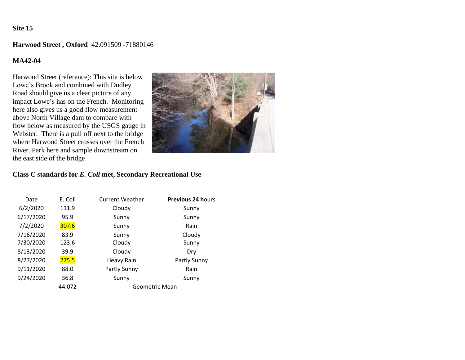#### **Harwood Street , Oxford** 42.091509 -71880146

#### **MA42-04**

Harwood Street (reference): This site is below Lowe's Brook and combined with Dudley Road should give us a clear picture of any impact Lowe's has on the French. Monitoring here also gives us a good flow measurement above North Village dam to compare with flow below as measured by the USGS gauge in Webster. There is a pull off next to the bridge where Harwood Street crosses over the French River. Park here and sample downstream on the east side of the bridge



| Date      | E. Coli | <b>Current Weather</b> | <b>Previous 24 hours</b> |
|-----------|---------|------------------------|--------------------------|
| 6/2/2020  | 111.9   | Cloudy                 | Sunny                    |
| 6/17/2020 | 95.9    | Sunny                  | Sunny                    |
| 7/2/2020  | 307.6   | Sunny                  | Rain                     |
| 7/16/2020 | 83.9    | Sunny                  | Cloudy                   |
| 7/30/2020 | 123.6   | Cloudy                 | Sunny                    |
| 8/13/2020 | 39.9    | Cloudy                 | Dry                      |
| 8/27/2020 | 275.5   | <b>Heavy Rain</b>      | Partly Sunny             |
| 9/11/2020 | 88.0    | Partly Sunny           | Rain                     |
| 9/24/2020 | 36.8    | Sunny<br>Sunny         |                          |
|           | 44.072  | Geometric Mean         |                          |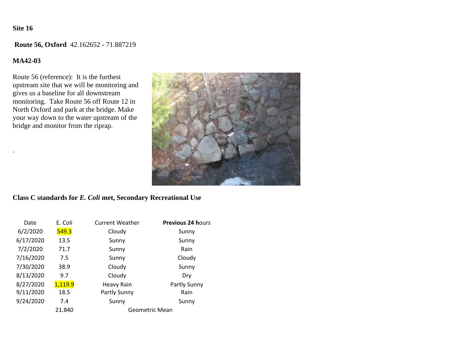**Route 56, Oxford** 42.162652 - 71.887219

#### **MA42-03**

.

Route 56 (reference): It is the furthest upstream site that we will be monitoring and gives us a baseline for all downstream monitoring. Take Route 56 off Route 12 in North Oxford and park at the bridge. Make your way down to the water upstream of the bridge and monitor from the riprap.



| Date      | E. Coli | <b>Current Weather</b> | <b>Previous 24 hours</b> |
|-----------|---------|------------------------|--------------------------|
| 6/2/2020  | 549.3   | Cloudy                 | Sunny                    |
| 6/17/2020 | 13.5    | Sunny                  | Sunny                    |
| 7/2/2020  | 71.7    | Sunny                  | Rain                     |
| 7/16/2020 | 7.5     | Sunny                  | Cloudy                   |
| 7/30/2020 | 38.9    | Cloudy                 | Sunny                    |
| 8/13/2020 | 9.7     | Cloudy                 | Dry                      |
| 8/27/2020 | 1,119.9 | <b>Heavy Rain</b>      | Partly Sunny             |
| 9/11/2020 | 18.5    | Partly Sunny           | Rain                     |
| 9/24/2020 | 7.4     | Sunny<br>Sunny         |                          |
|           | 21.840  | Geometric Mean         |                          |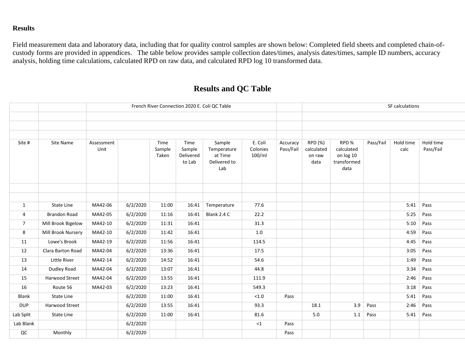# **Results**

Field measurement data and laboratory data, including that for quality control samples are shown below: Completed field sheets and completed chain-ofcustody forms are provided in appendices. The table below provides sample collection dates/times, analysis dates/times, sample ID numbers, accuracy analysis, holding time calculations, calculated RPD on raw data, and calculated RPD log 10 transformed data.

# **Results and QC Table**

|                |                     | French River Connection 2020 E. Coli QC Table |          |                         |                                       |                                                         |                               | SF calculations       |                                         |                                                        |           |                   |                        |
|----------------|---------------------|-----------------------------------------------|----------|-------------------------|---------------------------------------|---------------------------------------------------------|-------------------------------|-----------------------|-----------------------------------------|--------------------------------------------------------|-----------|-------------------|------------------------|
|                |                     |                                               |          |                         |                                       |                                                         |                               |                       |                                         |                                                        |           |                   |                        |
| Site #         | Site Name           | Assessment<br>Unit                            |          | Time<br>Sample<br>Taken | Time<br>Sample<br>Delivered<br>to Lab | Sample<br>Temperature<br>at Time<br>Delivered to<br>Lab | E. Coli<br>Colonies<br>100/ml | Accuracy<br>Pass/Fail | RPD (%)<br>calculated<br>on raw<br>data | RPD%<br>calculated<br>on log 10<br>transformed<br>data | Pass/Fail | Hold time<br>calc | Hold time<br>Pass/Fail |
|                |                     |                                               |          |                         |                                       |                                                         |                               |                       |                                         |                                                        |           |                   |                        |
|                |                     |                                               |          |                         |                                       |                                                         |                               |                       |                                         |                                                        |           |                   |                        |
| 1              | State Line          | MA42-06                                       | 6/2/2020 | 11:00                   | 16:41                                 | Temperature                                             | 77.6                          |                       |                                         |                                                        |           | 5:41              | Pass                   |
| 4              | <b>Brandon Road</b> | MA42-05                                       | 6/2/2020 | 11:16                   | 16:41                                 | Blank 2.4 C                                             | 22.2                          |                       |                                         |                                                        |           | 5:25              | Pass                   |
| $\overline{7}$ | Mill Brook Bigelow  | MA42-10                                       | 6/2/2020 | 11:31                   | 16:41                                 |                                                         | 31.3                          |                       |                                         |                                                        |           | 5:10              | Pass                   |
| 8              | Mill Brook Nursery  | MA42-10                                       | 6/2/2020 | 11:42                   | 16:41                                 |                                                         | $1.0\,$                       |                       |                                         |                                                        |           | 4:59              | Pass                   |
| 11             | Lowe's Brook        | MA42-19                                       | 6/2/2020 | 11:56                   | 16:41                                 |                                                         | 114.5                         |                       |                                         |                                                        |           | 4:45              | Pass                   |
| 12             | Clara Barton Road   | MA42-04                                       | 6/2/2020 | 13:36                   | 16:41                                 |                                                         | 17.5                          |                       |                                         |                                                        |           | 3:05              | Pass                   |
| 13             | Little River        | MA42-14                                       | 6/2/2020 | 14:52                   | 16:41                                 |                                                         | 54.6                          |                       |                                         |                                                        |           | 1:49              | Pass                   |
| 14             | Dudley Road         | MA42-04                                       | 6/2/2020 | 13:07                   | 16:41                                 |                                                         | 44.8                          |                       |                                         |                                                        |           | 3:34              | Pass                   |
| 15             | Harwood Street      | MA42-04                                       | 6/2/2020 | 13:55                   | 16:41                                 |                                                         | 111.9                         |                       |                                         |                                                        |           | 2:46              | Pass                   |
| 16             | Route 56            | MA42-03                                       | 6/2/2020 | 13:23                   | 16:41                                 |                                                         | 549.3                         |                       |                                         |                                                        |           | 3:18              | Pass                   |
| Blank          | <b>State Line</b>   |                                               | 6/2/2020 | 11:00                   | 16:41                                 |                                                         | < 1.0                         | Pass                  |                                         |                                                        |           | 5:41              | Pass                   |
| <b>DUP</b>     | Harwood Street      |                                               | 6/2/2020 | 13:55                   | 16:41                                 |                                                         | 93.3                          |                       | 18.1                                    | 3.9                                                    | Pass      | 2:46              | Pass                   |
| Lab Split      | State Line          |                                               | 6/2/2020 | 11:00                   | 16:41                                 |                                                         | 81.6                          |                       | $5.0\,$                                 | 1.1                                                    | Pass      | 5:41              | Pass                   |
| Lab Blank      |                     |                                               | 6/2/2020 |                         |                                       |                                                         | ${<}1$                        | Pass                  |                                         |                                                        |           |                   |                        |
| $_{\rm QC}$    | Monthly             |                                               | 6/2/2020 |                         |                                       |                                                         |                               | Pass                  |                                         |                                                        |           |                   |                        |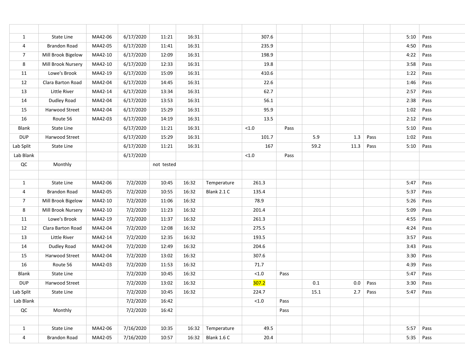| $\mathbf{1}$   | State Line            | MA42-06 | 6/17/2020 | 11:21      | 16:31 |             | 307.6 |      |      |         |      | 5:10 | Pass |
|----------------|-----------------------|---------|-----------|------------|-------|-------------|-------|------|------|---------|------|------|------|
| 4              | <b>Brandon Road</b>   | MA42-05 | 6/17/2020 | 11:41      | 16:31 |             | 235.9 |      |      |         |      | 4:50 | Pass |
| $\overline{7}$ | Mill Brook Bigelow    | MA42-10 | 6/17/2020 | 12:09      | 16:31 |             | 198.9 |      |      |         |      | 4:22 | Pass |
| 8              | Mill Brook Nursery    | MA42-10 | 6/17/2020 | 12:33      | 16:31 |             | 19.8  |      |      |         |      | 3:58 | Pass |
| 11             | Lowe's Brook          | MA42-19 | 6/17/2020 | 15:09      | 16:31 |             | 410.6 |      |      |         |      | 1:22 | Pass |
| 12             | Clara Barton Road     | MA42-04 | 6/17/2020 | 14:45      | 16:31 |             | 22.6  |      |      |         |      | 1:46 | Pass |
| 13             | Little River          | MA42-14 | 6/17/2020 | 13:34      | 16:31 |             | 62.7  |      |      |         |      | 2:57 | Pass |
| 14             | Dudley Road           | MA42-04 | 6/17/2020 | 13:53      | 16:31 |             | 56.1  |      |      |         |      | 2:38 | Pass |
| 15             | Harwood Street        | MA42-04 | 6/17/2020 | 15:29      | 16:31 |             | 95.9  |      |      |         |      | 1:02 | Pass |
| 16             | Route 56              | MA42-03 | 6/17/2020 | 14:19      | 16:31 |             | 13.5  |      |      |         |      | 2:12 | Pass |
| Blank          | State Line            |         | 6/17/2020 | 11:21      | 16:31 |             | < 1.0 | Pass |      |         |      | 5:10 | Pass |
| DUP            | Harwood Street        |         | 6/17/2020 | 15:29      | 16:31 |             | 101.7 |      | 5.9  | $1.3\,$ | Pass | 1:02 | Pass |
| Lab Split      | State Line            |         | 6/17/2020 | 11:21      | 16:31 |             | 167   |      | 59.2 | 11.3    | Pass | 5:10 | Pass |
| Lab Blank      |                       |         | 6/17/2020 |            |       |             | < 1.0 | Pass |      |         |      |      |      |
| $\sf QC$       | Monthly               |         |           | not tested |       |             |       |      |      |         |      |      |      |
|                |                       |         |           |            |       |             |       |      |      |         |      |      |      |
| $\mathbf{1}$   | State Line            | MA42-06 | 7/2/2020  | 10:45      | 16:32 | Temperature | 261.3 |      |      |         |      | 5:47 | Pass |
| 4              | Brandon Road          | MA42-05 | 7/2/2020  | 10:55      | 16:32 | Blank 2.1 C | 135.4 |      |      |         |      | 5:37 | Pass |
| $\overline{7}$ | Mill Brook Bigelow    | MA42-10 | 7/2/2020  | 11:06      | 16:32 |             | 78.9  |      |      |         |      | 5:26 | Pass |
| 8              | Mill Brook Nursery    | MA42-10 | 7/2/2020  | 11:23      | 16:32 |             | 201.4 |      |      |         |      | 5:09 | Pass |
| 11             | Lowe's Brook          | MA42-19 | 7/2/2020  | 11:37      | 16:32 |             | 261.3 |      |      |         |      | 4:55 | Pass |
| 12             | Clara Barton Road     | MA42-04 | 7/2/2020  | 12:08      | 16:32 |             | 275.5 |      |      |         |      | 4:24 | Pass |
| 13             | Little River          | MA42-14 | 7/2/2020  | 12:35      | 16:32 |             | 193.5 |      |      |         |      | 3:57 | Pass |
| 14             | Dudley Road           | MA42-04 | 7/2/2020  | 12:49      | 16:32 |             | 204.6 |      |      |         |      | 3:43 | Pass |
| 15             | <b>Harwood Street</b> | MA42-04 | 7/2/2020  | 13:02      | 16:32 |             | 307.6 |      |      |         |      | 3:30 | Pass |
| 16             | Route 56              | MA42-03 | 7/2/2020  | 11:53      | 16:32 |             | 71.7  |      |      |         |      | 4:39 | Pass |
| <b>Blank</b>   | <b>State Line</b>     |         | 7/2/2020  | 10:45      | 16:32 |             | < 1.0 | Pass |      |         |      | 5:47 | Pass |
| DUP            | Harwood Street        |         | 7/2/2020  | 13:02      | 16:32 |             | 307.2 |      | 0.1  | 0.0     | Pass | 3:30 | Pass |
| Lab Split      | State Line            |         | 7/2/2020  | 10:45      | 16:32 |             | 224.7 |      | 15.1 | 2.7     | Pass | 5:47 | Pass |
| Lab Blank      |                       |         | 7/2/2020  | 16:42      |       |             | < 1.0 | Pass |      |         |      |      |      |
| QC             | Monthly               |         | 7/2/2020  | 16:42      |       |             |       | Pass |      |         |      |      |      |
|                |                       |         |           |            |       |             |       |      |      |         |      |      |      |
| $\mathbf{1}$   | State Line            | MA42-06 | 7/16/2020 | 10:35      | 16:32 | Temperature | 49.5  |      |      |         |      | 5:57 | Pass |
| 4              | Brandon Road          | MA42-05 | 7/16/2020 | 10:57      | 16:32 | Blank 1.6 C | 20.4  |      |      |         |      | 5:35 | Pass |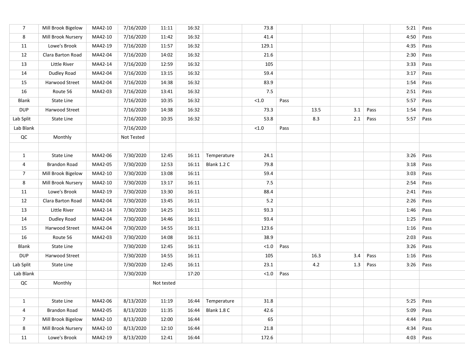| $\overline{7}$ | Mill Brook Bigelow  | MA42-10 | 7/16/2020  | 11:11      | 16:32 |             | 73.8     |      |      |     |      | 5:21 | Pass |
|----------------|---------------------|---------|------------|------------|-------|-------------|----------|------|------|-----|------|------|------|
| 8              | Mill Brook Nursery  | MA42-10 | 7/16/2020  | 11:42      | 16:32 |             | 41.4     |      |      |     |      | 4:50 | Pass |
| 11             | Lowe's Brook        | MA42-19 | 7/16/2020  | 11:57      | 16:32 |             | 129.1    |      |      |     |      | 4:35 | Pass |
| 12             | Clara Barton Road   | MA42-04 | 7/16/2020  | 14:02      | 16:32 |             | 21.6     |      |      |     |      | 2:30 | Pass |
| 13             | Little River        | MA42-14 | 7/16/2020  | 12:59      | 16:32 |             | 105      |      |      |     |      | 3:33 | Pass |
| 14             | Dudley Road         | MA42-04 | 7/16/2020  | 13:15      | 16:32 |             | 59.4     |      |      |     |      | 3:17 | Pass |
| 15             | Harwood Street      | MA42-04 | 7/16/2020  | 14:38      | 16:32 |             | 83.9     |      |      |     |      | 1:54 | Pass |
| 16             | Route 56            | MA42-03 | 7/16/2020  | 13:41      | 16:32 |             | 7.5      |      |      |     |      | 2:51 | Pass |
| Blank          | State Line          |         | 7/16/2020  | 10:35      | 16:32 |             | $<1.0$   | Pass |      |     |      | 5:57 | Pass |
| <b>DUP</b>     | Harwood Street      |         | 7/16/2020  | 14:38      | 16:32 |             | 73.3     |      | 13.5 | 3.1 | Pass | 1:54 | Pass |
| Lab Split      | State Line          |         | 7/16/2020  | 10:35      | 16:32 |             | 53.8     |      | 8.3  | 2.1 | Pass | 5:57 | Pass |
| Lab Blank      |                     |         | 7/16/2020  |            |       |             | $<1.0\,$ | Pass |      |     |      |      |      |
| $\sf QC$       | Monthly             |         | Not Tested |            |       |             |          |      |      |     |      |      |      |
|                |                     |         |            |            |       |             |          |      |      |     |      |      |      |
| $\mathbf{1}$   | State Line          | MA42-06 | 7/30/2020  | 12:45      | 16:11 | Temperature | 24.1     |      |      |     |      | 3:26 | Pass |
| 4              | <b>Brandon Road</b> | MA42-05 | 7/30/2020  | 12:53      | 16:11 | Blank 1.2 C | 79.8     |      |      |     |      | 3:18 | Pass |
| $\overline{7}$ | Mill Brook Bigelow  | MA42-10 | 7/30/2020  | 13:08      | 16:11 |             | 59.4     |      |      |     |      | 3:03 | Pass |
| 8              | Mill Brook Nursery  | MA42-10 | 7/30/2020  | 13:17      | 16:11 |             | 7.5      |      |      |     |      | 2:54 | Pass |
| 11             | Lowe's Brook        | MA42-19 | 7/30/2020  | 13:30      | 16:11 |             | 88.4     |      |      |     |      | 2:41 | Pass |
| 12             | Clara Barton Road   | MA42-04 | 7/30/2020  | 13:45      | 16:11 |             | 5.2      |      |      |     |      | 2:26 | Pass |
| 13             | Little River        | MA42-14 | 7/30/2020  | 14:25      | 16:11 |             | 93.3     |      |      |     |      | 1:46 | Pass |
| 14             | Dudley Road         | MA42-04 | 7/30/2020  | 14:46      | 16:11 |             | 93.4     |      |      |     |      | 1:25 | Pass |
| 15             | Harwood Street      | MA42-04 | 7/30/2020  | 14:55      | 16:11 |             | 123.6    |      |      |     |      | 1:16 | Pass |
| 16             | Route 56            | MA42-03 | 7/30/2020  | 14:08      | 16:11 |             | 38.9     |      |      |     |      | 2:03 | Pass |
| Blank          | State Line          |         | 7/30/2020  | 12:45      | 16:11 |             | $<1.0$   | Pass |      |     |      | 3:26 | Pass |
| <b>DUP</b>     | Harwood Street      |         | 7/30/2020  | 14:55      | 16:11 |             | 105      |      | 16.3 | 3.4 | Pass | 1:16 | Pass |
| Lab Split      | State Line          |         | 7/30/2020  | 12:45      | 16:11 |             | 23.1     |      | 4.2  | 1.3 | Pass | 3:26 | Pass |
| Lab Blank      |                     |         | 7/30/2020  |            | 17:20 |             | $<$ 1.0  | Pass |      |     |      |      |      |
| $\sf QC$       | Monthly             |         |            | Not tested |       |             |          |      |      |     |      |      |      |
|                |                     |         |            |            |       |             |          |      |      |     |      |      |      |
| $\mathbf{1}$   | State Line          | MA42-06 | 8/13/2020  | 11:19      | 16:44 | Temperature | 31.8     |      |      |     |      | 5:25 | Pass |
| 4              | <b>Brandon Road</b> | MA42-05 | 8/13/2020  | 11:35      | 16:44 | Blank 1.8 C | 42.6     |      |      |     |      | 5:09 | Pass |
| $\overline{7}$ | Mill Brook Bigelow  | MA42-10 | 8/13/2020  | 12:00      | 16:44 |             | 65       |      |      |     |      | 4:44 | Pass |
| 8              | Mill Brook Nursery  | MA42-10 | 8/13/2020  | 12:10      | 16:44 |             | 21.8     |      |      |     |      | 4:34 | Pass |
| 11             | Lowe's Brook        | MA42-19 | 8/13/2020  | 12:41      | 16:44 |             | 172.6    |      |      |     |      | 4:03 | Pass |
|                |                     |         |            |            |       |             |          |      |      |     |      |      |      |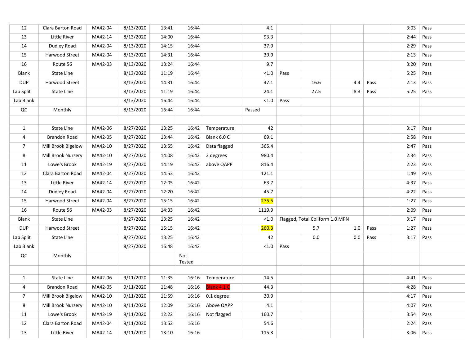| 12             | Clara Barton Road   | MA42-04 | 8/13/2020 | 13:41 | 16:44         |                            | 4.1    |      |                                 |     |      | 3:03 | Pass |
|----------------|---------------------|---------|-----------|-------|---------------|----------------------------|--------|------|---------------------------------|-----|------|------|------|
| 13             | Little River        | MA42-14 | 8/13/2020 | 14:00 | 16:44         |                            | 93.3   |      |                                 |     |      | 2:44 | Pass |
| 14             | Dudley Road         | MA42-04 | 8/13/2020 | 14:15 | 16:44         |                            | 37.9   |      |                                 |     |      | 2:29 | Pass |
| 15             | Harwood Street      | MA42-04 | 8/13/2020 | 14:31 | 16:44         |                            | 39.9   |      |                                 |     |      | 2:13 | Pass |
| 16             | Route 56            | MA42-03 | 8/13/2020 | 13:24 | 16:44         |                            | 9.7    |      |                                 |     |      | 3:20 | Pass |
| Blank          | State Line          |         | 8/13/2020 | 11:19 | 16:44         |                            | < 1.0  | Pass |                                 |     |      | 5:25 | Pass |
| <b>DUP</b>     | Harwood Street      |         | 8/13/2020 | 14:31 | 16:44         |                            | 47.1   |      | 16.6                            | 4.4 | Pass | 2:13 | Pass |
| Lab Split      | State Line          |         | 8/13/2020 | 11:19 | 16:44         |                            | 24.1   |      | 27.5                            | 8.3 | Pass | 5:25 | Pass |
| Lab Blank      |                     |         | 8/13/2020 | 16:44 | 16:44         |                            | < 1.0  | Pass |                                 |     |      |      |      |
| QC             | Monthly             |         | 8/13/2020 | 16:44 | 16:44         |                            | Passed |      |                                 |     |      |      |      |
|                |                     |         |           |       |               |                            |        |      |                                 |     |      |      |      |
| $\mathbf{1}$   | State Line          | MA42-06 | 8/27/2020 | 13:25 | 16:42         | Temperature                | 42     |      |                                 |     |      | 3:17 | Pass |
| 4              | Brandon Road        | MA42-05 | 8/27/2020 | 13:44 | 16:42         | Blank 6.0 C                | 69.1   |      |                                 |     |      | 2:58 | Pass |
| $\overline{7}$ | Mill Brook Bigelow  | MA42-10 | 8/27/2020 | 13:55 | 16:42         | Data flagged               | 365.4  |      |                                 |     |      | 2:47 | Pass |
| 8              | Mill Brook Nursery  | MA42-10 | 8/27/2020 | 14:08 | 16:42         | 2 degrees                  | 980.4  |      |                                 |     |      | 2:34 | Pass |
| 11             | Lowe's Brook        | MA42-19 | 8/27/2020 | 14:19 | 16:42         | above QAPP                 | 816.4  |      |                                 |     |      | 2:23 | Pass |
| 12             | Clara Barton Road   | MA42-04 | 8/27/2020 | 14:53 | 16:42         |                            | 121.1  |      |                                 |     |      | 1:49 | Pass |
| 13             | Little River        | MA42-14 | 8/27/2020 | 12:05 | 16:42         |                            | 63.7   |      |                                 |     |      | 4:37 | Pass |
| 14             | Dudley Road         | MA42-04 | 8/27/2020 | 12:20 | 16:42         |                            | 45.7   |      |                                 |     |      | 4:22 | Pass |
| 15             | Harwood Street      | MA42-04 | 8/27/2020 | 15:15 | 16:42         |                            | 275.5  |      |                                 |     |      | 1:27 | Pass |
| 16             | Route 56            | MA42-03 | 8/27/2020 | 14:33 | 16:42         |                            | 1119.9 |      |                                 |     |      | 2:09 | Pass |
| Blank          | State Line          |         | 8/27/2020 | 13:25 | 16:42         |                            | < 1.0  |      | Flagged, Total Coliform 1.0 MPN |     |      | 3:17 | Pass |
| <b>DUP</b>     | Harwood Street      |         | 8/27/2020 | 15:15 | 16:42         |                            | 260.3  |      | 5.7                             | 1.0 | Pass | 1:27 | Pass |
| Lab Split      | State Line          |         | 8/27/2020 | 13:25 | 16:42         |                            | 42     |      | 0.0                             | 0.0 | Pass | 3:17 | Pass |
| Lab Blank      |                     |         | 8/27/2020 | 16:48 | 16:42         |                            | < 1.0  | Pass |                                 |     |      |      |      |
| $\sf QC$       | Monthly             |         |           |       | Not<br>Tested |                            |        |      |                                 |     |      |      |      |
|                |                     |         |           |       |               |                            |        |      |                                 |     |      |      |      |
| $\mathbf{1}$   | State Line          | MA42-06 | 9/11/2020 | 11:35 |               | 16:16 Temperature          | 14.5   |      |                                 |     |      | 4:41 | Pass |
| 4              | <b>Brandon Road</b> | MA42-05 | 9/11/2020 | 11:48 |               | 16:16   <b>Blank 4.1 C</b> | 44.3   |      |                                 |     |      | 4:28 | Pass |
| $\overline{7}$ | Mill Brook Bigelow  | MA42-10 | 9/11/2020 | 11:59 | 16:16         | 0.1 degree                 | 30.9   |      |                                 |     |      | 4:17 | Pass |
| 8              | Mill Brook Nursery  | MA42-10 | 9/11/2020 | 12:09 | 16:16         | Above QAPP                 | 4.1    |      |                                 |     |      | 4:07 | Pass |
| 11             | Lowe's Brook        | MA42-19 | 9/11/2020 | 12:22 | 16:16         | Not flagged                | 160.7  |      |                                 |     |      | 3:54 | Pass |
| 12             | Clara Barton Road   | MA42-04 | 9/11/2020 | 13:52 | 16:16         |                            | 54.6   |      |                                 |     |      | 2:24 | Pass |
| 13             | Little River        | MA42-14 | 9/11/2020 | 13:10 | 16:16         |                            | 115.3  |      |                                 |     |      | 3:06 | Pass |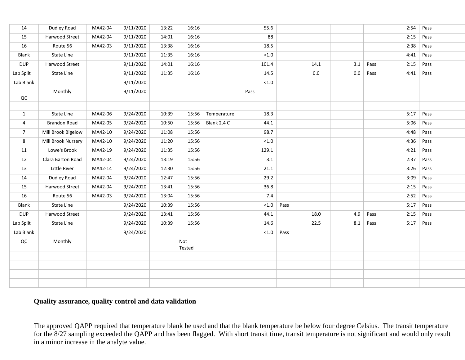| 14             | Dudley Road         | MA42-04 | 9/11/2020 | 13:22 | 16:16         |             | 55.6   |      |      |     |      | 2:54 | Pass |
|----------------|---------------------|---------|-----------|-------|---------------|-------------|--------|------|------|-----|------|------|------|
| 15             | Harwood Street      | MA42-04 | 9/11/2020 | 14:01 | 16:16         |             | 88     |      |      |     |      | 2:15 | Pass |
| 16             | Route 56            | MA42-03 | 9/11/2020 | 13:38 | 16:16         |             | 18.5   |      |      |     |      | 2:38 | Pass |
| Blank          | State Line          |         | 9/11/2020 | 11:35 | 16:16         |             | < 1.0  |      |      |     |      | 4:41 | Pass |
| <b>DUP</b>     | Harwood Street      |         | 9/11/2020 | 14:01 | 16:16         |             | 101.4  |      | 14.1 | 3.1 | Pass | 2:15 | Pass |
| Lab Split      | State Line          |         | 9/11/2020 | 11:35 | 16:16         |             | 14.5   |      | 0.0  | 0.0 | Pass | 4:41 | Pass |
| Lab Blank      |                     |         | 9/11/2020 |       |               |             | $<1.0$ |      |      |     |      |      |      |
| $_{\rm QC}$    | Monthly             |         | 9/11/2020 |       |               |             | Pass   |      |      |     |      |      |      |
|                |                     |         |           |       |               |             |        |      |      |     |      |      |      |
| 1              | State Line          | MA42-06 | 9/24/2020 | 10:39 | 15:56         | Temperature | 18.3   |      |      |     |      | 5:17 | Pass |
| 4              | <b>Brandon Road</b> | MA42-05 | 9/24/2020 | 10:50 | 15:56         | Blank 2.4 C | 44.1   |      |      |     |      | 5:06 | Pass |
| $\overline{7}$ | Mill Brook Bigelow  | MA42-10 | 9/24/2020 | 11:08 | 15:56         |             | 98.7   |      |      |     |      | 4:48 | Pass |
| 8              | Mill Brook Nursery  | MA42-10 | 9/24/2020 | 11:20 | 15:56         |             | $<1.0$ |      |      |     |      | 4:36 | Pass |
| 11             | Lowe's Brook        | MA42-19 | 9/24/2020 | 11:35 | 15:56         |             | 129.1  |      |      |     |      | 4:21 | Pass |
| 12             | Clara Barton Road   | MA42-04 | 9/24/2020 | 13:19 | 15:56         |             | 3.1    |      |      |     |      | 2:37 | Pass |
| 13             | Little River        | MA42-14 | 9/24/2020 | 12:30 | 15:56         |             | 21.1   |      |      |     |      | 3:26 | Pass |
| 14             | Dudley Road         | MA42-04 | 9/24/2020 | 12:47 | 15:56         |             | 29.2   |      |      |     |      | 3:09 | Pass |
| 15             | Harwood Street      | MA42-04 | 9/24/2020 | 13:41 | 15:56         |             | 36.8   |      |      |     |      | 2:15 | Pass |
| 16             | Route 56            | MA42-03 | 9/24/2020 | 13:04 | 15:56         |             | 7.4    |      |      |     |      | 2:52 | Pass |
| Blank          | State Line          |         | 9/24/2020 | 10:39 | 15:56         |             | < 1.0  | Pass |      |     |      | 5:17 | Pass |
| <b>DUP</b>     | Harwood Street      |         | 9/24/2020 | 13:41 | 15:56         |             | 44.1   |      | 18.0 | 4.9 | Pass | 2:15 | Pass |
| Lab Split      | State Line          |         | 9/24/2020 | 10:39 | 15:56         |             | 14.6   |      | 22.5 | 8.1 | Pass | 5:17 | Pass |
| Lab Blank      |                     |         | 9/24/2020 |       |               |             | < 1.0  | Pass |      |     |      |      |      |
| QC             | Monthly             |         |           |       | Not<br>Tested |             |        |      |      |     |      |      |      |
|                |                     |         |           |       |               |             |        |      |      |     |      |      |      |
|                |                     |         |           |       |               |             |        |      |      |     |      |      |      |
|                |                     |         |           |       |               |             |        |      |      |     |      |      |      |
|                |                     |         |           |       |               |             |        |      |      |     |      |      |      |

#### **Quality assurance, quality control and data validation**

The approved QAPP required that temperature blank be used and that the blank temperature be below four degree Celsius. The transit temperature for the 8/27 sampling exceeded the QAPP and has been flagged. With short transit time, transit temperature is not significant and would only result in a minor increase in the analyte value.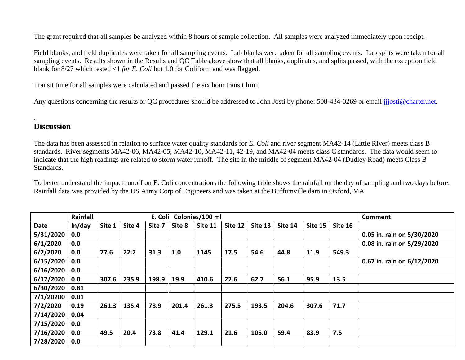The grant required that all samples be analyzed within 8 hours of sample collection. All samples were analyzed immediately upon receipt.

Field blanks, and field duplicates were taken for all sampling events. Lab blanks were taken for all sampling events. Lab splits were taken for all sampling events. Results shown in the Results and QC Table above show that all blanks, duplicates, and splits passed, with the exception field blank for 8/27 which tested <1 *for E. Coli* but 1.0 for Coliform and was flagged.

Transit time for all samples were calculated and passed the six hour transit limit

Any questions concerning the results or OC procedures should be addressed to John Josti by phone: 508-434-0269 or email jijosti@charter.net.

# **Discussion**

.

The data has been assessed in relation to surface water quality standards for *E. Coli* and river segment MA42-14 (Little River) meets class B standards. River segments MA42-06, MA42-05, MA42-10, MA42-11, 42-19, and MA42-04 meets class C standards. The data would seem to indicate that the high readings are related to storm water runoff. The site in the middle of segment MA42-04 (Dudley Road) meets Class B Standards.

To better understand the impact runoff on E. Coli concentrations the following table shows the rainfall on the day of sampling and two days before. Rainfall data was provided by the US Army Corp of Engineers and was taken at the Buffumville dam in Oxford, MA

|             | Rainfall |        | Colonies/100 ml<br>E. Coli |        |        |         |         |         |         |         |         | Comment                    |
|-------------|----------|--------|----------------------------|--------|--------|---------|---------|---------|---------|---------|---------|----------------------------|
| <b>Date</b> | In/day   | Site 1 | Site 4                     | Site 7 | Site 8 | Site 11 | Site 12 | Site 13 | Site 14 | Site 15 | Site 16 |                            |
| 5/31/2020   | 0.0      |        |                            |        |        |         |         |         |         |         |         | 0.05 in. rain on 5/30/2020 |
| 6/1/2020    | 0.0      |        |                            |        |        |         |         |         |         |         |         | 0.08 in. rain on 5/29/2020 |
| 6/2/2020    | 0.0      | 77.6   | 22.2                       | 31.3   | 1.0    | 1145    | 17.5    | 54.6    | 44.8    | 11.9    | 549.3   |                            |
| 6/15/2020   | 0.0      |        |                            |        |        |         |         |         |         |         |         | 0.67 in. rain on 6/12/2020 |
| 6/16/2020   | 0.0      |        |                            |        |        |         |         |         |         |         |         |                            |
| 6/17/2020   | 0.0      | 307.6  | 235.9                      | 198.9  | 19.9   | 410.6   | 22.6    | 62.7    | 56.1    | 95.9    | 13.5    |                            |
| 6/30/2020   | 0.81     |        |                            |        |        |         |         |         |         |         |         |                            |
| 7/1/20200   | 0.01     |        |                            |        |        |         |         |         |         |         |         |                            |
| 7/2/2020    | 0.19     | 261.3  | 135.4                      | 78.9   | 201.4  | 261.3   | 275.5   | 193.5   | 204.6   | 307.6   | 71.7    |                            |
| 7/14/2020   | 0.04     |        |                            |        |        |         |         |         |         |         |         |                            |
| 7/15/2020   | 0.0      |        |                            |        |        |         |         |         |         |         |         |                            |
| 7/16/2020   | 0.0      | 49.5   | 20.4                       | 73.8   | 41.4   | 129.1   | 21.6    | 105.0   | 59.4    | 83.9    | 7.5     |                            |
| 7/28/2020   | 0.0      |        |                            |        |        |         |         |         |         |         |         |                            |